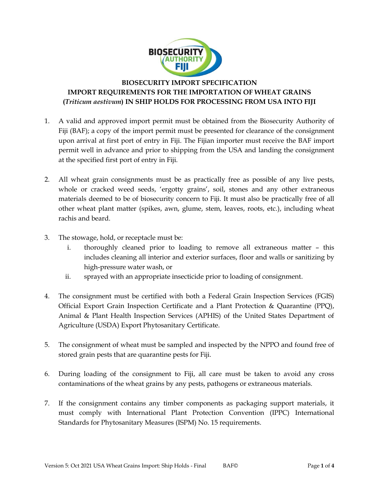

## **BIOSECURITY IMPORT SPECIFICATION IMPORT REQUIREMENTS FOR THE IMPORTATION OF WHEAT GRAINS (***Triticum aestivum***) IN SHIP HOLDS FOR PROCESSING FROM USA INTO FIJI**

- 1. A valid and approved import permit must be obtained from the Biosecurity Authority of Fiji (BAF); a copy of the import permit must be presented for clearance of the consignment upon arrival at first port of entry in Fiji. The Fijian importer must receive the BAF import permit well in advance and prior to shipping from the USA and landing the consignment at the specified first port of entry in Fiji.
- 2. All wheat grain consignments must be as practically free as possible of any live pests, whole or cracked weed seeds, 'ergotty grains', soil, stones and any other extraneous materials deemed to be of biosecurity concern to Fiji. It must also be practically free of all other wheat plant matter (spikes, awn, glume, stem, leaves, roots, etc.), including wheat rachis and beard.
- 3. The stowage, hold, or receptacle must be:
	- i. thoroughly cleaned prior to loading to remove all extraneous matter this includes cleaning all interior and exterior surfaces, floor and walls or sanitizing by high-pressure water wash, or
	- ii. sprayed with an appropriate insecticide prior to loading of consignment.
- 4. The consignment must be certified with both a Federal Grain Inspection Services (FGIS) Official Export Grain Inspection Certificate and a Plant Protection & Quarantine (PPQ), Animal & Plant Health Inspection Services (APHIS) of the United States Department of Agriculture (USDA) Export Phytosanitary Certificate.
- 5. The consignment of wheat must be sampled and inspected by the NPPO and found free of stored grain pests that are quarantine pests for Fiji.
- 6. During loading of the consignment to Fiji, all care must be taken to avoid any cross contaminations of the wheat grains by any pests, pathogens or extraneous materials.
- 7. If the consignment contains any timber components as packaging support materials, it must comply with International Plant Protection Convention (IPPC) International Standards for Phytosanitary Measures (ISPM) No. 15 requirements.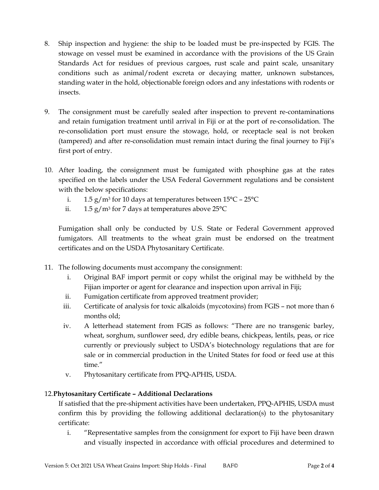- 8. Ship inspection and hygiene: the ship to be loaded must be pre-inspected by FGIS. The stowage on vessel must be examined in accordance with the provisions of the US Grain Standards Act for residues of previous cargoes, rust scale and paint scale, unsanitary conditions such as animal/rodent excreta or decaying matter, unknown substances, standing water in the hold, objectionable foreign odors and any infestations with rodents or insects.
- 9. The consignment must be carefully sealed after inspection to prevent re-contaminations and retain fumigation treatment until arrival in Fiji or at the port of re-consolidation. The re-consolidation port must ensure the stowage, hold, or receptacle seal is not broken (tampered) and after re-consolidation must remain intact during the final journey to Fiji"s first port of entry.
- 10. After loading, the consignment must be fumigated with phosphine gas at the rates specified on the labels under the USA Federal Government regulations and be consistent with the below specifications:
	- i.  $1.5 \text{ g/m}^3$  for 10 days at temperatures between  $15^{\circ}$ C  $25^{\circ}$ C
	- ii.  $1.5 \text{ g/m}^3$  for 7 days at temperatures above 25 $\textdegree$ C

Fumigation shall only be conducted by U.S. State or Federal Government approved fumigators. All treatments to the wheat grain must be endorsed on the treatment certificates and on the USDA Phytosanitary Certificate.

- 11. The following documents must accompany the consignment:
	- i. Original BAF import permit or copy whilst the original may be withheld by the Fijian importer or agent for clearance and inspection upon arrival in Fiji;
	- ii. Fumigation certificate from approved treatment provider;
	- iii. Certificate of analysis for toxic alkaloids (mycotoxins) from FGIS not more than 6 months old;
	- iv. A letterhead statement from FGIS as follows: "There are no transgenic barley, wheat, sorghum, sunflower seed, dry edible beans, chickpeas, lentils, peas, or rice currently or previously subject to USDA"s biotechnology regulations that are for sale or in commercial production in the United States for food or feed use at this time."
	- v. Phytosanitary certificate from PPQ-APHIS, USDA.

## 12.**Phytosanitary Certificate – Additional Declarations**

If satisfied that the pre-shipment activities have been undertaken, PPQ-APHIS, USDA must confirm this by providing the following additional declaration(s) to the phytosanitary certificate:

i. "Representative samples from the consignment for export to Fiji have been drawn and visually inspected in accordance with official procedures and determined to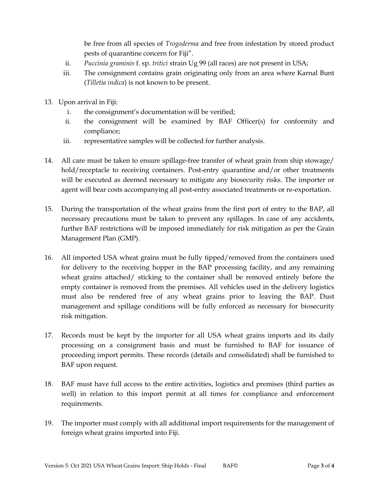be free from all species of *Trogoderma* and free from infestation by stored product pests of quarantine concern for Fiji".

- ii. *Puccinia graminis* f. sp. *tritici* strain Ug 99 (all races) are not present in USA;
- iii. The consignment contains grain originating only from an area where Karnal Bunt (*Tilletia indica*) is not known to be present.
- 13. Upon arrival in Fiji:
	- i. the consignment's documentation will be verified;
	- ii. the consignment will be examined by BAF Officer(s) for conformity and compliance;
	- iii. representative samples will be collected for further analysis.
- 14. All care must be taken to ensure spillage-free transfer of wheat grain from ship stowage/ hold/receptacle to receiving containers. Post-entry quarantine and/or other treatments will be executed as deemed necessary to mitigate any biosecurity risks. The importer or agent will bear costs accompanying all post-entry associated treatments or re-exportation.
- 15. During the transportation of the wheat grains from the first port of entry to the BAP, all necessary precautions must be taken to prevent any spillages. In case of any accidents, further BAF restrictions will be imposed immediately for risk mitigation as per the Grain Management Plan (GMP).
- 16. All imported USA wheat grains must be fully tipped/removed from the containers used for delivery to the receiving hopper in the BAP processing facility, and any remaining wheat grains attached/ sticking to the container shall be removed entirely before the empty container is removed from the premises. All vehicles used in the delivery logistics must also be rendered free of any wheat grains prior to leaving the BAP. Dust management and spillage conditions will be fully enforced as necessary for biosecurity risk mitigation.
- 17. Records must be kept by the importer for all USA wheat grains imports and its daily processing on a consignment basis and must be furnished to BAF for issuance of proceeding import permits. These records (details and consolidated) shall be furnished to BAF upon request.
- 18. BAF must have full access to the entire activities, logistics and premises (third parties as well) in relation to this import permit at all times for compliance and enforcement requirements.
- 19. The importer must comply with all additional import requirements for the management of foreign wheat grains imported into Fiji.